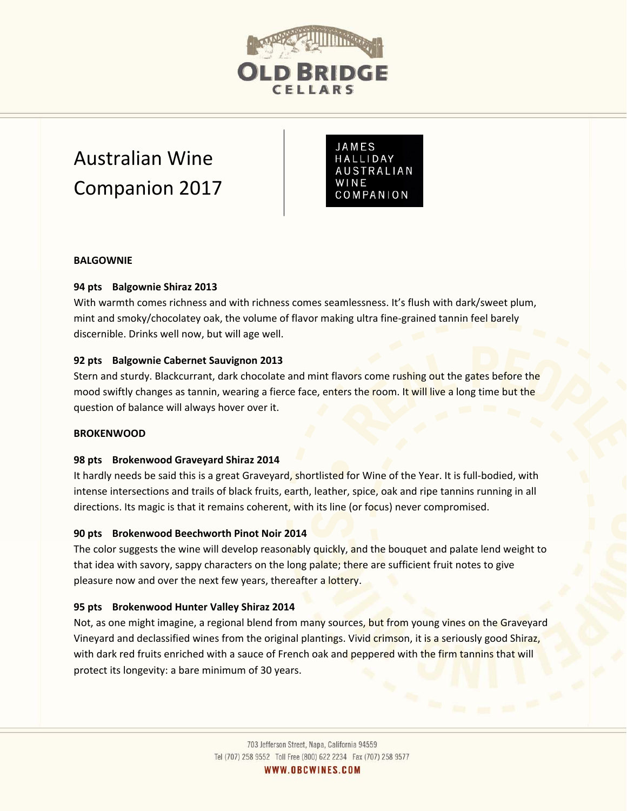

# Australian Wine Companion 2017

JAMES HALLIDAY **AUSTRALIAN** WINE COMPANION

#### **BALGOWNIE**

## **94 pts Balgownie Shiraz 2013**

With warmth comes richness and with richness comes seamlessness. It's flush with dark/sweet plum, mint and smoky/chocolatey oak, the volume of flavor making ultra fine-grained tannin feel barely discernible. Drinks well now, but will age well.

#### **92 pts Balgownie Cabernet Sauvignon 2013**

Stern and sturdy. Blackcurrant, dark chocolate and mint flavors come rushing out the gates before the mood swiftly changes as tannin, wearing a fierce face, enters the room. It will live a long time but the question of balance will always hover over it.

## **BROKENWOOD**

#### **98 pts Brokenwood Graveyard Shiraz 2014**

It hardly needs be said this is a great Graveyard, shortlisted for Wine of the Year. It is full-bodied, with intense intersections and trails of black fruits, earth, leather, spice, oak and ripe tannins running in all directions. Its magic is that it remains coherent, with its line (or focus) never compromised.

#### **90 pts Brokenwood Beechworth Pinot Noir 2014**

The color suggests the wine will develop reasonably quickly, and the bouquet and palate lend weight to that idea with savory, sappy characters on the long palate; there are sufficient fruit notes to give pleasure now and over the next few years, thereafter a lottery.

#### **95 pts Brokenwood Hunter Valley Shiraz 2014**

Not, as one might imagine, a regional blend from many sources, but from young vines on the Graveyard Vineyard and declassified wines from the original plantings. Vivid crimson, it is a seriously good Shiraz, with dark red fruits enriched with a sauce of French oak and peppered with the firm tannins that will protect its longevity: a bare minimum of 30 years.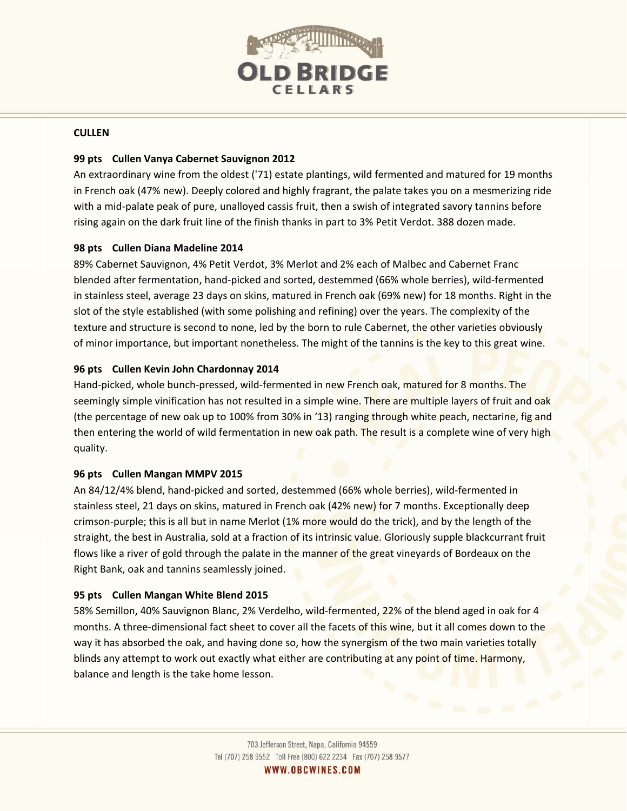

#### **CULLEN**

## **99 pts Cullen Vanya Cabernet Sauvignon 2012**

An extraordinary wine from the oldest ('71) estate plantings, wild fermented and matured for 19 months in French oak (47% new). Deeply colored and highly fragrant, the palate takes you on a mesmerizing ride with a mid-palate peak of pure, unalloyed cassis fruit, then a swish of integrated savory tannins before rising again on the dark fruit line of the finish thanks in part to 3% Petit Verdot. 388 dozen made.

# **98 pts Cullen Diana Madeline 2014**

89% Cabernet Sauvignon, 4% Petit Verdot, 3% Merlot and 2% each of Malbec and Cabernet Franc blended after fermentation, hand-picked and sorted, destemmed (66% whole berries), wild-fermented in stainless steel, average 23 days on skins, matured in French oak (69% new) for 18 months. Right in the slot of the style established (with some polishing and refining) over the years. The complexity of the texture and structure is second to none, led by the born to rule Cabernet, the other varieties obviously of minor importance, but important nonetheless. The might of the tannins is the key to this great wine.

# **96 pts Cullen Kevin John Chardonnay 2014**

Hand-picked, whole bunch-pressed, wild-fermented in new French oak, matured for 8 months. The seemingly simple vinification has not resulted in a simple wine. There are multiple layers of fruit and oak (the percentage of new oak up to 100% from 30% in '13) ranging through white peach, nectarine, fig and then entering the world of wild fermentation in new oak path. The result is a complete wine of very high quality.

## **96 pts Cullen Mangan MMPV 2015**

An 84/12/4% blend, hand-picked and sorted, destemmed (66% whole berries), wild-fermented in stainless steel, 21 days on skins, matured in French oak (42% new) for 7 months. Exceptionally deep crimson-purple; this is all but in name Merlot (1% more would do the trick), and by the length of the straight, the best in Australia, sold at a fraction of its intrinsic value. Gloriously supple blackcurrant fruit flows like a river of gold through the palate in the manner of the great vineyards of Bordeaux on the Right Bank, oak and tannins seamlessly joined.

## **95 pts Cullen Mangan White Blend 2015**

58% Semillon, 40% Sauvignon Blanc, 2% Verdelho, wild-fermented, 22% of the blend aged in oak for 4 months. A three-dimensional fact sheet to cover all the facets of this wine, but it all comes down to the way it has absorbed the oak, and having done so, how the synergism of the two main varieties totally blinds any attempt to work out exactly what either are contributing at any point of time. Harmony, balance and length is the take home lesson.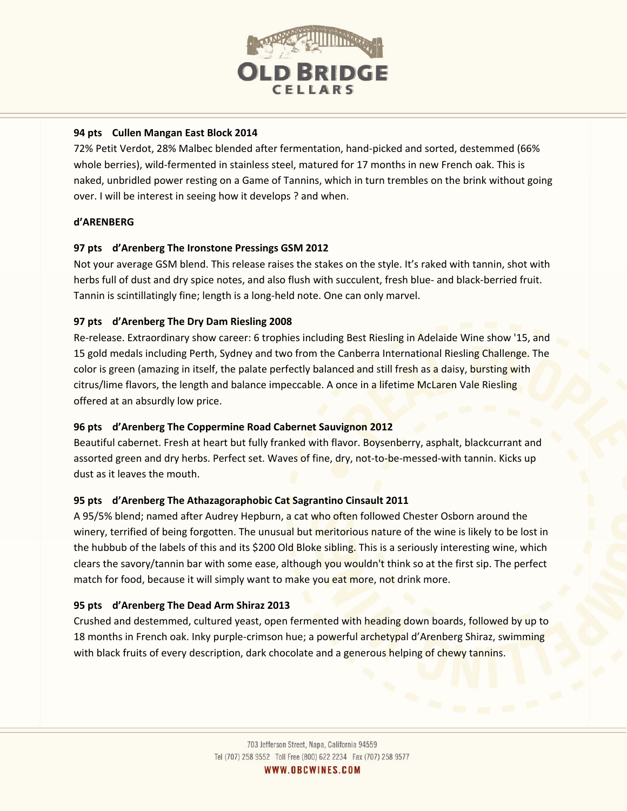

# **94 pts Cullen Mangan East Block 2014**

72% Petit Verdot, 28% Malbec blended after fermentation, hand-picked and sorted, destemmed (66% whole berries), wild-fermented in stainless steel, matured for 17 months in new French oak. This is naked, unbridled power resting on a Game of Tannins, which in turn trembles on the brink without going over. I will be interest in seeing how it develops ? and when.

# **d'ARENBERG**

# **97 pts d'Arenberg The Ironstone Pressings GSM 2012**

Not your average GSM blend. This release raises the stakes on the style. It's raked with tannin, shot with herbs full of dust and dry spice notes, and also flush with succulent, fresh blue- and black-berried fruit. Tannin is scintillatingly fine; length is a long-held note. One can only marvel.

# **97 pts d'Arenberg The Dry Dam Riesling 2008**

Re-release. Extraordinary show career: 6 trophies including Best Riesling in Adelaide Wine show '15, and 15 gold medals including Perth, Sydney and two from the Canberra International Riesling Challenge. The color is green (amazing in itself, the palate perfectly balanced and still fresh as a daisy, bursting with citrus/lime flavors, the length and balance impeccable. A once in a lifetime McLaren Vale Riesling offered at an absurdly low price.

## **96 pts d'Arenberg The Coppermine Road Cabernet Sauvignon 2012**

Beautiful cabernet. Fresh at heart but fully franked with flavor. Boysenberry, asphalt, blackcurrant and assorted green and dry herbs. Perfect set. Waves of fine, dry, not-to-be-messed-with tannin. Kicks up dust as it leaves the mouth.

## **95 pts d'Arenberg The Athazagoraphobic Cat Sagrantino Cinsault 2011**

A 95/5% blend; named after Audrey Hepburn, a cat who often followed Chester Osborn around the winery, terrified of being forgotten. The unusual but meritorious nature of the wine is likely to be lost in the hubbub of the labels of this and its \$200 Old Bloke sibling. This is a seriously interesting wine, which clears the savory/tannin bar with some ease, although you wouldn't think so at the first sip. The perfect match for food, because it will simply want to make you eat more, not drink more.

# **95 pts d'Arenberg The Dead Arm Shiraz 2013**

Crushed and destemmed, cultured yeast, open fermented with heading down boards, followed by up to 18 months in French oak. Inky purple-crimson hue; a powerful archetypal d'Arenberg Shiraz, swimming with black fruits of every description, dark chocolate and a generous helping of chewy tannins.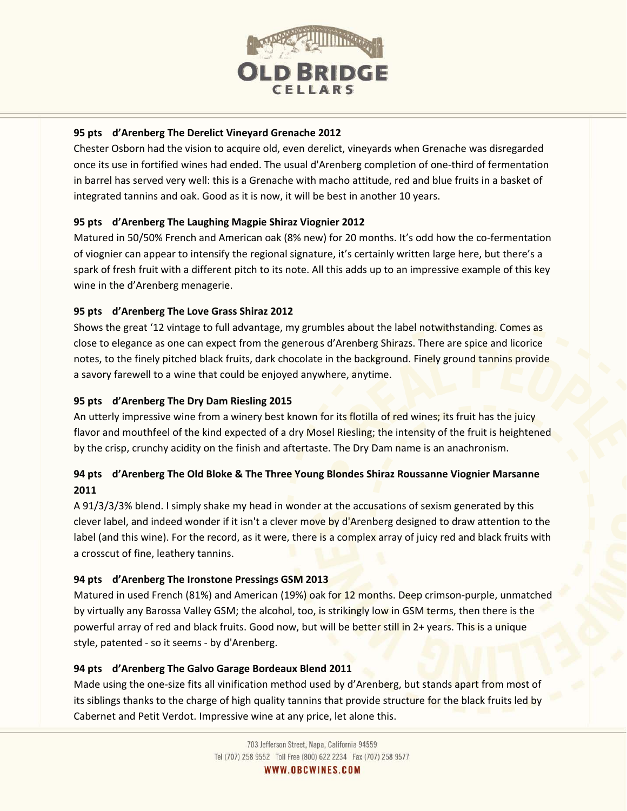

# **95 pts d'Arenberg The Derelict Vineyard Grenache 2012**

Chester Osborn had the vision to acquire old, even derelict, vineyards when Grenache was disregarded once its use in fortified wines had ended. The usual d'Arenberg completion of one-third of fermentation in barrel has served very well: this is a Grenache with macho attitude, red and blue fruits in a basket of integrated tannins and oak. Good as it is now, it will be best in another 10 years.

# **95 pts d'Arenberg The Laughing Magpie Shiraz Viognier 2012**

Matured in 50/50% French and American oak (8% new) for 20 months. It's odd how the co-fermentation of viognier can appear to intensify the regional signature, it's certainly written large here, but there's a spark of fresh fruit with a different pitch to its note. All this adds up to an impressive example of this key wine in the d'Arenberg menagerie.

# **95 pts d'Arenberg The Love Grass Shiraz 2012**

Shows the great '12 vintage to full advantage, my grumbles about the label notwithstanding. Comes as close to elegance as one can expect from the generous d'Arenberg Shirazs. There are spice and licorice notes, to the finely pitched black fruits, dark chocolate in the background. Finely ground tannins provide a savory farewell to a wine that could be enjoyed anywhere, anytime.

# **95 pts d'Arenberg The Dry Dam Riesling 2015**

An utterly impressive wine from a winery best known for its flotilla of red wines; its fruit has the juicy flavor and mouthfeel of the kind expected of a dry Mosel Riesling; the intensity of the fruit is heightened by the crisp, crunchy acidity on the finish and aftertaste. The Dry Dam name is an anachronism.

# **94 pts d'Arenberg The Old Bloke & The Three Young Blondes Shiraz Roussanne Viognier Marsanne 2011**

A 91/3/3/3% blend. I simply shake my head in wonder at the accusations of sexism generated by this clever label, and indeed wonder if it isn't a clever move by d'Arenberg designed to draw attention to the label (and this wine). For the record, as it were, there is a complex array of juicy red and black fruits with a crosscut of fine, leathery tannins.

## **94 pts d'Arenberg The Ironstone Pressings GSM 2013**

Matured in used French (81%) and American (19%) oak for 12 months. Deep crimson-purple, unmatched by virtually any Barossa Valley GSM; the alcohol, too, is strikingly low in GSM terms, then there is the powerful array of red and black fruits. Good now, but will be better still in 2+ years. This is a unique style, patented - so it seems - by d'Arenberg.

## **94 pts d'Arenberg The Galvo Garage Bordeaux Blend 2011**

Made using the one-size fits all vinification method used by d'Arenberg, but stands apart from most of its siblings thanks to the charge of high quality tannins that provide structure for the black fruits led by Cabernet and Petit Verdot. Impressive wine at any price, let alone this.

WWW.OBCWINES.COM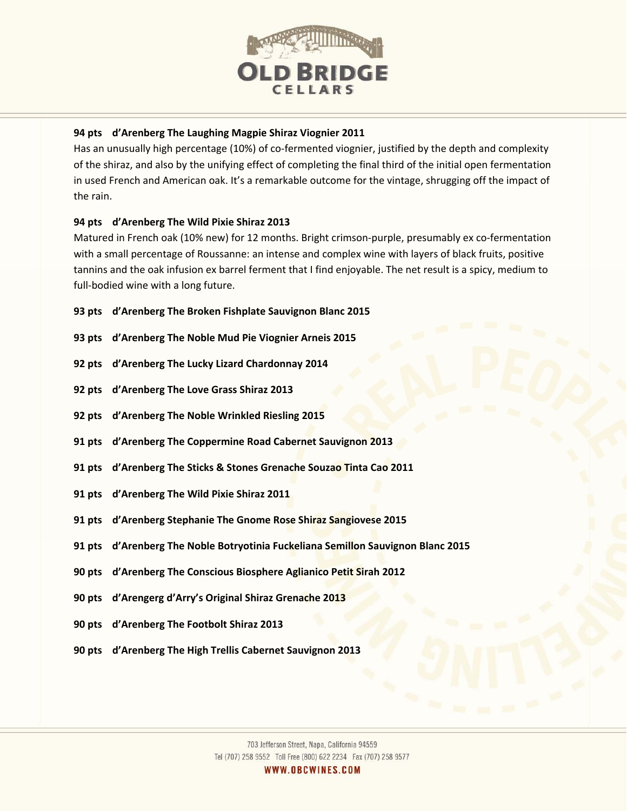

# **94 pts d'Arenberg The Laughing Magpie Shiraz Viognier 2011**

Has an unusually high percentage (10%) of co-fermented viognier, justified by the depth and complexity of the shiraz, and also by the unifying effect of completing the final third of the initial open fermentation in used French and American oak. It's a remarkable outcome for the vintage, shrugging off the impact of the rain.

# **94 pts d'Arenberg The Wild Pixie Shiraz 2013**

Matured in French oak (10% new) for 12 months. Bright crimson-purple, presumably ex co-fermentation with a small percentage of Roussanne: an intense and complex wine with layers of black fruits, positive tannins and the oak infusion ex barrel ferment that I find enjoyable. The net result is a spicy, medium to full-bodied wine with a long future.

- **93 pts d'Arenberg The Broken Fishplate Sauvignon Blanc 2015**
- **93 pts d'Arenberg The Noble Mud Pie Viognier Arneis 2015**
- **92 pts d'Arenberg The Lucky Lizard Chardonnay 2014**
- **92 pts d'Arenberg The Love Grass Shiraz 2013**
- **92 pts d'Arenberg The Noble Wrinkled Riesling 2015**
- **91 pts d'Arenberg The Coppermine Road Cabernet Sauvignon 2013**
- **91 pts d'Arenberg The Sticks & Stones Grenache Souzao Tinta Cao 2011**
- **91 pts d'Arenberg The Wild Pixie Shiraz 2011**
- **91 pts d'Arenberg Stephanie The Gnome Rose Shiraz Sangiovese 2015**
- **91 pts d'Arenberg The Noble Botryotinia Fuckeliana Semillon Sauvignon Blanc 2015**
- **90 pts d'Arenberg The Conscious Biosphere Aglianico Petit Sirah 2012**
- **90 pts d'Arengerg d'Arry's Original Shiraz Grenache 2013**
- **90 pts d'Arenberg The Footbolt Shiraz 2013**
- **90 pts d'Arenberg The High Trellis Cabernet Sauvignon 2013**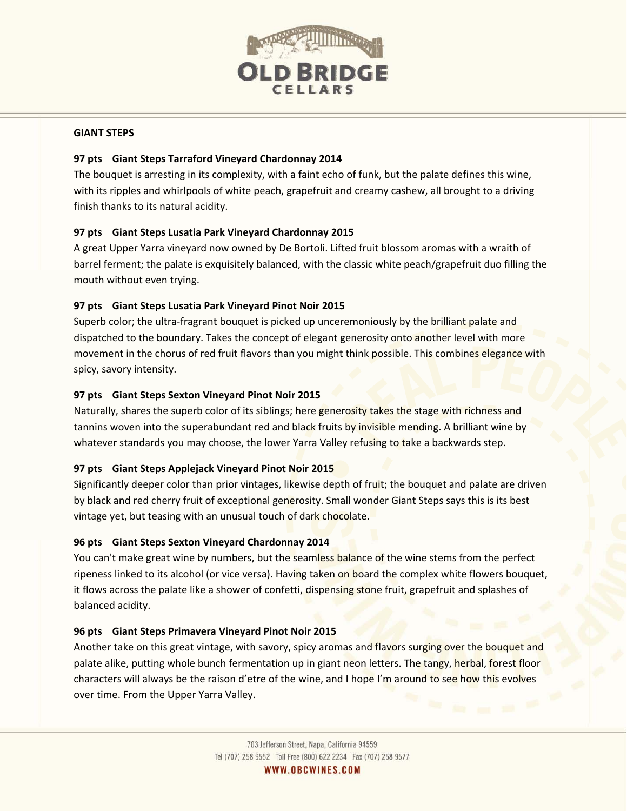

#### **GIANT STEPS**

## **97 pts Giant Steps Tarraford Vineyard Chardonnay 2014**

The bouquet is arresting in its complexity, with a faint echo of funk, but the palate defines this wine, with its ripples and whirlpools of white peach, grapefruit and creamy cashew, all brought to a driving finish thanks to its natural acidity.

# **97 pts Giant Steps Lusatia Park Vineyard Chardonnay 2015**

A great Upper Yarra vineyard now owned by De Bortoli. Lifted fruit blossom aromas with a wraith of barrel ferment; the palate is exquisitely balanced, with the classic white peach/grapefruit duo filling the mouth without even trying.

# **97 pts Giant Steps Lusatia Park Vineyard Pinot Noir 2015**

Superb color; the ultra-fragrant bouquet is picked up unceremoniously by the brilliant palate and dispatched to the boundary. Takes the concept of elegant generosity onto another level with more movement in the chorus of red fruit flavors than you might think possible. This combines elegance with spicy, savory intensity.

# **97 pts Giant Steps Sexton Vineyard Pinot Noir 2015**

Naturally, shares the superb color of its siblings; here generosity takes the stage with richness and tannins woven into the superabundant red and black fruits by invisible mending. A brilliant wine by whatever standards you may choose, the lower Yarra Valley refusing to take a backwards step.

## **97 pts Giant Steps Applejack Vineyard Pinot Noir 2015**

Significantly deeper color than prior vintages, likewise depth of fruit; the bouquet and palate are driven by black and red cherry fruit of exceptional generosity. Small wonder Giant Steps says this is its best vintage yet, but teasing with an unusual touch of dark chocolate.

## **96 pts Giant Steps Sexton Vineyard Chardonnay 2014**

You can't make great wine by numbers, but the seamless balance of the wine stems from the perfect ripeness linked to its alcohol (or vice versa). Having taken on board the complex white flowers bouquet, it flows across the palate like a shower of confetti, dispensing stone fruit, grapefruit and splashes of balanced acidity.

## **96 pts Giant Steps Primavera Vineyard Pinot Noir 2015**

Another take on this great vintage, with savory, spicy aromas and flavors surging over the bouquet and palate alike, putting whole bunch fermentation up in giant neon letters. The tangy, herbal, forest floor characters will always be the raison d'etre of the wine, and I hope I'm around to see how this evolves over time. From the Upper Yarra Valley.

WWW.OBCWINES.COM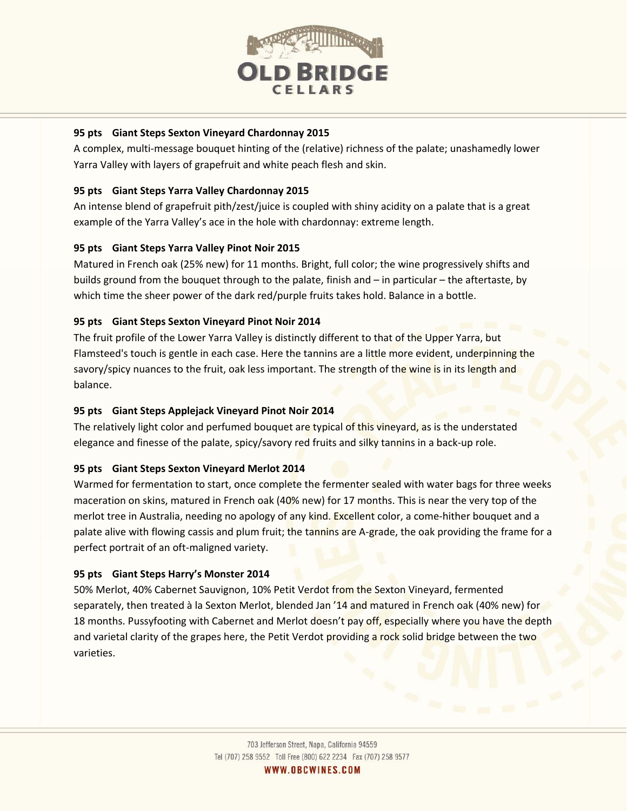

# **95 pts Giant Steps Sexton Vineyard Chardonnay 2015**

A complex, multi-message bouquet hinting of the (relative) richness of the palate; unashamedly lower Yarra Valley with layers of grapefruit and white peach flesh and skin.

## **95 pts Giant Steps Yarra Valley Chardonnay 2015**

An intense blend of grapefruit pith/zest/juice is coupled with shiny acidity on a palate that is a great example of the Yarra Valley's ace in the hole with chardonnay: extreme length.

# **95 pts Giant Steps Yarra Valley Pinot Noir 2015**

Matured in French oak (25% new) for 11 months. Bright, full color; the wine progressively shifts and builds ground from the bouquet through to the palate, finish and – in particular – the aftertaste, by which time the sheer power of the dark red/purple fruits takes hold. Balance in a bottle.

# **95 pts Giant Steps Sexton Vineyard Pinot Noir 2014**

The fruit profile of the Lower Yarra Valley is distinctly different to that of the Upper Yarra, but Flamsteed's touch is gentle in each case. Here the tannins are a little more evident, underpinning the savory/spicy nuances to the fruit, oak less important. The strength of the wine is in its length and balance.

# **95 pts Giant Steps Applejack Vineyard Pinot Noir 2014**

The relatively light color and perfumed bouquet are typical of this vineyard, as is the understated elegance and finesse of the palate, spicy/savory red fruits and silky tannins in a back-up role.

## **95 pts Giant Steps Sexton Vineyard Merlot 2014**

Warmed for fermentation to start, once complete the fermenter sealed with water bags for three weeks maceration on skins, matured in French oak (40% new) for 17 months. This is near the very top of the merlot tree in Australia, needing no apology of any kind. Excellent color, a come-hither bouquet and a palate alive with flowing cassis and plum fruit; the tannins are A-grade, the oak providing the frame for a perfect portrait of an oft-maligned variety.

## **95 pts Giant Steps Harry's Monster 2014**

50% Merlot, 40% Cabernet Sauvignon, 10% Petit Verdot from the Sexton Vineyard, fermented separately, then treated à la Sexton Merlot, blended Jan '14 and matured in French oak (40% new) for 18 months. Pussyfooting with Cabernet and Merlot doesn't pay off, especially where you have the depth and varietal clarity of the grapes here, the Petit Verdot providing a rock solid bridge between the two varieties.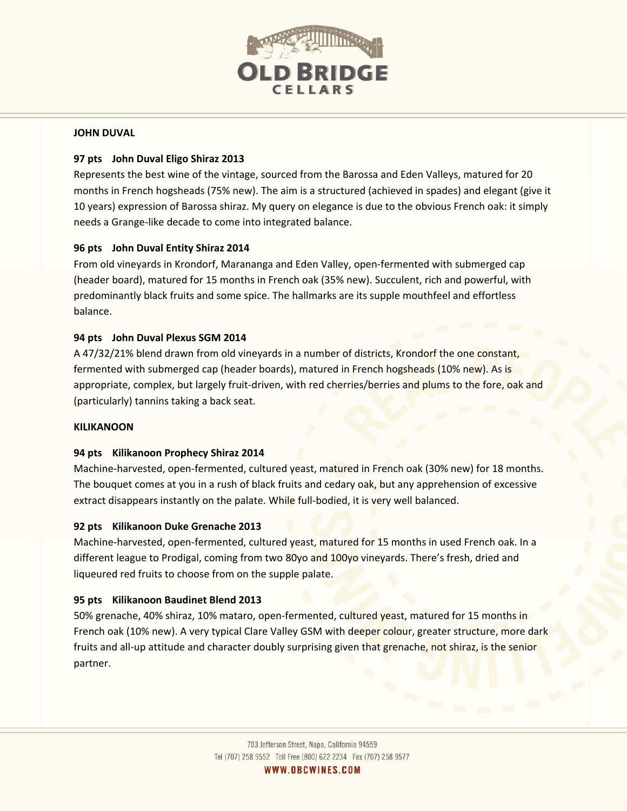

#### **JOHN DUVAL**

## **97 pts John Duval Eligo Shiraz 2013**

Represents the best wine of the vintage, sourced from the Barossa and Eden Valleys, matured for 20 months in French hogsheads (75% new). The aim is a structured (achieved in spades) and elegant (give it 10 years) expression of Barossa shiraz. My query on elegance is due to the obvious French oak: it simply needs a Grange-like decade to come into integrated balance.

# **96 pts John Duval Entity Shiraz 2014**

From old vineyards in Krondorf, Marananga and Eden Valley, open-fermented with submerged cap (header board), matured for 15 months in French oak (35% new). Succulent, rich and powerful, with predominantly black fruits and some spice. The hallmarks are its supple mouthfeel and effortless balance.

## **94 pts John Duval Plexus SGM 2014**

A 47/32/21% blend drawn from old vineyards in a number of districts, Krondorf the one constant, fermented with submerged cap (header boards), matured in French hogsheads (10% new). As is appropriate, complex, but largely fruit-driven, with red cherries/berries and plums to the fore, oak and (particularly) tannins taking a back seat.

## **KILIKANOON**

## **94 pts Kilikanoon Prophecy Shiraz 2014**

Machine-harvested, open-fermented, cultured yeast, matured in French oak (30% new) for 18 months. The bouquet comes at you in a rush of black fruits and cedary oak, but any apprehension of excessive extract disappears instantly on the palate. While full-bodied, it is very well balanced.

## **92 pts Kilikanoon Duke Grenache 2013**

Machine-harvested, open-fermented, cultured yeast, matured for 15 months in used French oak. In a different league to Prodigal, coming from two 80yo and 100yo vineyards. There's fresh, dried and liqueured red fruits to choose from on the supple palate.

## **95 pts Kilikanoon Baudinet Blend 2013**

50% grenache, 40% shiraz, 10% mataro, open-fermented, cultured yeast, matured for 15 months in French oak (10% new). A very typical Clare Valley GSM with deeper colour, greater structure, more dark fruits and all-up attitude and character doubly surprising given that grenache, not shiraz, is the senior partner.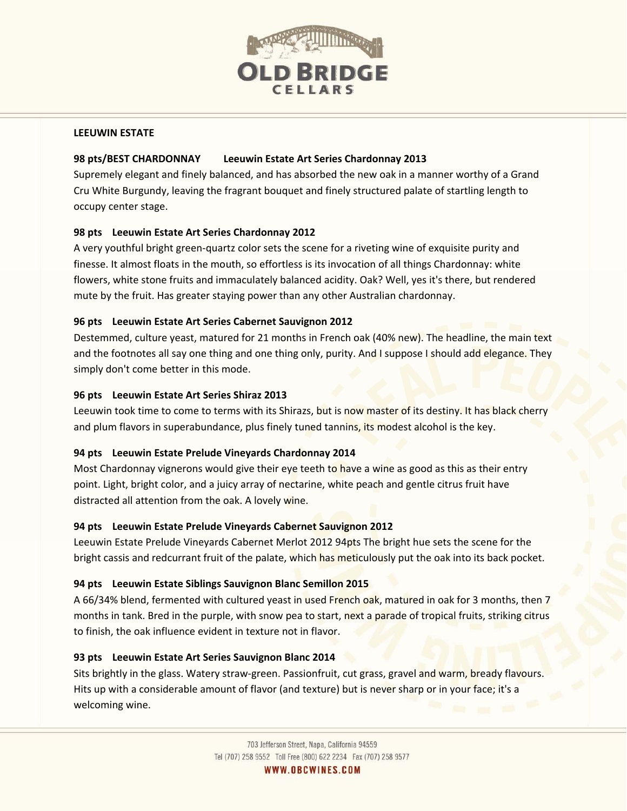

#### **LEEUWIN ESTATE**

## **98 pts/BEST CHARDONNAY Leeuwin Estate Art Series Chardonnay 2013**

Supremely elegant and finely balanced, and has absorbed the new oak in a manner worthy of a Grand Cru White Burgundy, leaving the fragrant bouquet and finely structured palate of startling length to occupy center stage.

# **98 pts Leeuwin Estate Art Series Chardonnay 2012**

A very youthful bright green-quartz color sets the scene for a riveting wine of exquisite purity and finesse. It almost floats in the mouth, so effortless is its invocation of all things Chardonnay: white flowers, white stone fruits and immaculately balanced acidity. Oak? Well, yes it's there, but rendered mute by the fruit. Has greater staying power than any other Australian chardonnay.

# **96 pts Leeuwin Estate Art Series Cabernet Sauvignon 2012**

Destemmed, culture yeast, matured for 21 months in French oak (40% new). The headline, the main text and the footnotes all say one thing and one thing only, purity. And I suppose I should add elegance. They simply don't come better in this mode.

# **96 pts Leeuwin Estate Art Series Shiraz 2013**

Leeuwin took time to come to terms with its Shirazs, but is now master of its destiny. It has black cherry and plum flavors in superabundance, plus finely tuned tannins, its modest alcohol is the key.

# **94 pts Leeuwin Estate Prelude Vineyards Chardonnay 2014**

Most Chardonnay vignerons would give their eye teeth to have a wine as good as this as their entry point. Light, bright color, and a juicy array of nectarine, white peach and gentle citrus fruit have distracted all attention from the oak. A lovely wine.

## **94 pts Leeuwin Estate Prelude Vineyards Cabernet Sauvignon 2012**

Leeuwin Estate Prelude Vineyards Cabernet Merlot 2012 94pts The bright hue sets the scene for the bright cassis and redcurrant fruit of the palate, which has meticulously put the oak into its back pocket.

# **94 pts Leeuwin Estate Siblings Sauvignon Blanc Semillon 2015**

A 66/34% blend, fermented with cultured yeast in used French oak, matured in oak for 3 months, then 7 months in tank. Bred in the purple, with snow pea to start, next a parade of tropical fruits, striking citrus to finish, the oak influence evident in texture not in flavor.

## **93 pts Leeuwin Estate Art Series Sauvignon Blanc 2014**

Sits brightly in the glass. Watery straw-green. Passionfruit, cut grass, gravel and warm, bready flavours. Hits up with a considerable amount of flavor (and texture) but is never sharp or in your face; it's a welcoming wine.

WWW.OBCWINES.COM